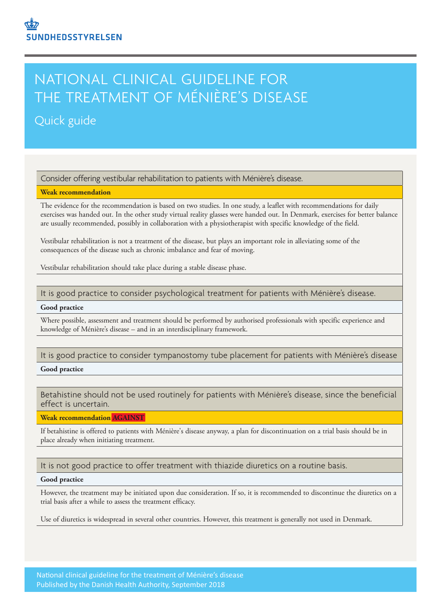# NATIONAL CLINICAL GUIDELINE FOR THE TREATMENT OF MÉNIÈRE'S DISEASE

# Quick guide

Consider offering vestibular rehabilitation to patients with Ménière's disease.

## **Weak recommendation**

The evidence for the recommendation is based on two studies. In one study, a leaflet with recommendations for daily exercises was handed out. In the other study virtual reality glasses were handed out. In Denmark, exercises for better balance are usually recommended, possibly in collaboration with a physiotherapist with specific knowledge of the field.

Vestibular rehabilitation is not a treatment of the disease, but plays an important role in alleviating some of the consequences of the disease such as chronic imbalance and fear of moving.

Vestibular rehabilitation should take place during a stable disease phase.

## It is good practice to consider psychological treatment for patients with Ménière's disease.

#### **Good practice**

Where possible, assessment and treatment should be performed by authorised professionals with specific experience and knowledge of Ménière's disease – and in an interdisciplinary framework.

# It is good practice to consider tympanostomy tube placement for patients with Ménière's disease

#### **Good practice**

Betahistine should not be used routinely for patients with Ménière's disease, since the beneficial effect is uncertain.

**Weak recommendation AGAINST** 

If betahistine is offered to patients with Ménière's disease anyway, a plan for discontinuation on a trial basis should be in place already when initiating treatment.

# It is not good practice to offer treatment with thiazide diuretics on a routine basis.

# **Good practice**

However, the treatment may be initiated upon due consideration. If so, it is recommended to discontinue the diuretics on a trial basis after a while to assess the treatment efficacy.

Use of diuretics is widespread in several other countries. However, this treatment is generally not used in Denmark.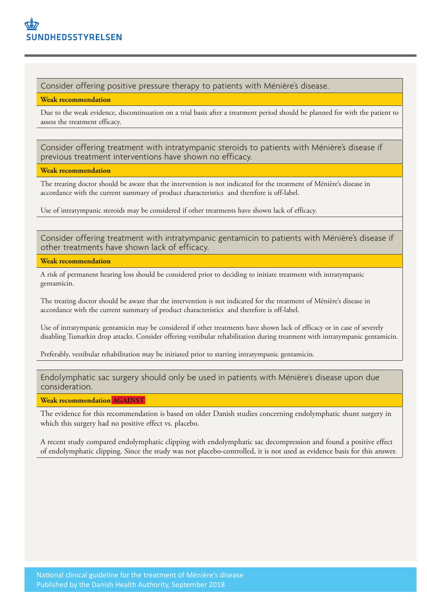Consider offering positive pressure therapy to patients with Ménière's disease.

**Weak recommendation**

Due to the weak evidence, discontinuation on a trial basis after a treatment period should be planned for with the patient to assess the treatment efficacy.

Consider offering treatment with intratympanic steroids to patients with Ménière's disease if previous treatment interventions have shown no efficacy.

**Weak recommendation**

The treating doctor should be aware that the intervention is not indicated for the treatment of Ménière's disease in accordance with the current summary of product characteristics and therefore is off-label.

Use of intratympanic steroids may be considered if other treatments have shown lack of efficacy.

Consider offering treatment with intratympanic gentamicin to patients with Ménière's disease if other treatments have shown lack of efficacy.

**Weak recommendation**

A risk of permanent hearing loss should be considered prior to deciding to initiate treatment with intratympanic gentamicin.

The treating doctor should be aware that the intervention is not indicated for the treatment of Ménière's disease in accordance with the current summary of product characteristics and therefore is off-label.

Use of intratympanic gentamicin may be considered if other treatments have shown lack of efficacy or in case of severely disabling Tumarkin drop attacks. Consider offering vestibular rehabilitation during treatment with intratympanic gentamicin.

Preferably, vestibular rehabilitation may be initiated prior to starting intratympanic gentamicin.

Endolymphatic sac surgery should only be used in patients with Ménière's disease upon due consideration.

**Weak recommendation AGAINST** 

The evidence for this recommendation is based on older Danish studies concerning endolymphatic shunt surgery in which this surgery had no positive effect vs. placebo.

A recent study compared endolymphatic clipping with endolymphatic sac decompression and found a positive effect of endolymphatic clipping. Since the study was not placebo-controlled, it is not used as evidence basis for this answer.